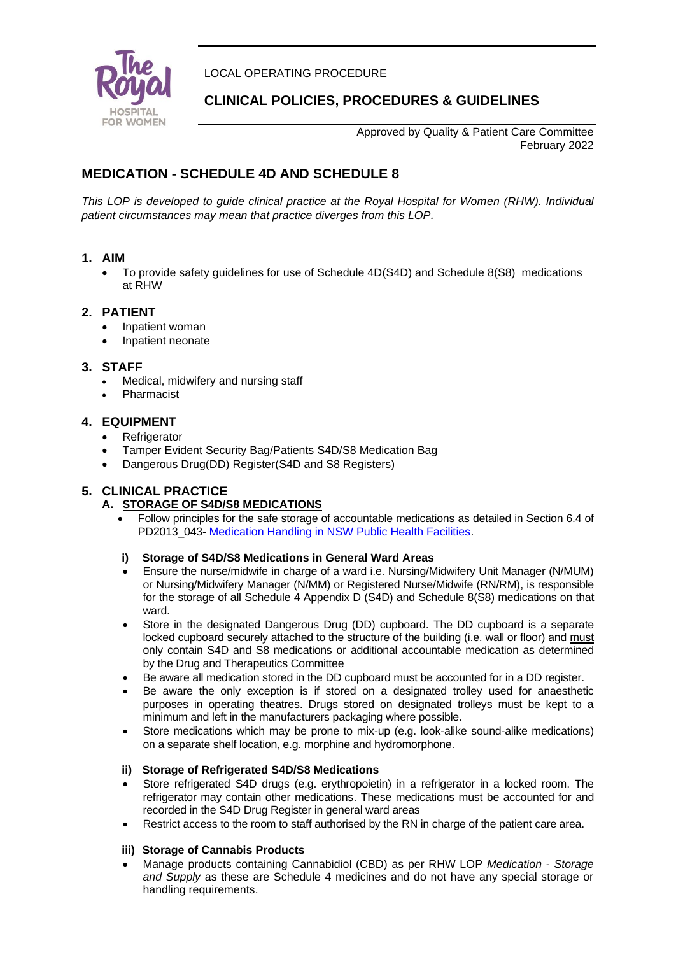

LOCAL OPERATING PROCEDURE

# **CLINICAL POLICIES, PROCEDURES & GUIDELINES**

Approved by Quality & Patient Care Committee February 2022

# **MEDICATION - SCHEDULE 4D AND SCHEDULE 8**

*This LOP is developed to guide clinical practice at the Royal Hospital for Women (RHW). Individual patient circumstances may mean that practice diverges from this LOP.*

### **1. AIM**

• To provide safety guidelines for use of Schedule 4D(S4D) and Schedule 8(S8) medications at RHW

## **2. PATIENT**

- Inpatient woman
- Inpatient neonate

## **3. STAFF**

- Medical, midwifery and nursing staff
- Pharmacist

## **4. EQUIPMENT**

- **Refrigerator**
- Tamper Evident Security Bag/Patients S4D/S8 Medication Bag
- Dangerous Drug(DD) Register(S4D and S8 Registers)

## **5. CLINICAL PRACTICE**

## **A. STORAGE OF S4D/S8 MEDICATIONS**

• Follow principles for the safe storage of accountable medications as detailed in Section 6.4 of PD2013\_043- [Medication Handling in NSW Public Health Facilities.](http://www0.health.nsw.gov.au/policies/pd/2013/pdf/PD2013_043.pdf)

#### **i) Storage of S4D/S8 Medications in General Ward Areas**

- Ensure the nurse/midwife in charge of a ward i.e. Nursing/Midwifery Unit Manager (N/MUM) or Nursing/Midwifery Manager (N/MM) or Registered Nurse/Midwife (RN/RM), is responsible for the storage of all Schedule 4 Appendix D (S4D) and Schedule 8(S8) medications on that ward.
- Store in the designated Dangerous Drug (DD) cupboard. The DD cupboard is a separate locked cupboard securely attached to the structure of the building (i.e. wall or floor) and must only contain S4D and S8 medications or additional accountable medication as determined by the Drug and Therapeutics Committee
- Be aware all medication stored in the DD cupboard must be accounted for in a DD register.
- Be aware the only exception is if stored on a designated trolley used for anaesthetic purposes in operating theatres. Drugs stored on designated trolleys must be kept to a minimum and left in the manufacturers packaging where possible.
- Store medications which may be prone to mix-up (e.g. look-alike sound-alike medications) on a separate shelf location, e.g. morphine and hydromorphone.

#### **ii) Storage of Refrigerated S4D/S8 Medications**

- Store refrigerated S4D drugs (e.g. erythropoietin) in a refrigerator in a locked room. The refrigerator may contain other medications. These medications must be accounted for and recorded in the S4D Drug Register in general ward areas
- Restrict access to the room to staff authorised by the RN in charge of the patient care area.

#### **iii) Storage of Cannabis Products**

• Manage products containing Cannabidiol (CBD) as per RHW LOP *Medication - Storage and Supply* as these are Schedule 4 medicines and do not have any special storage or handling requirements.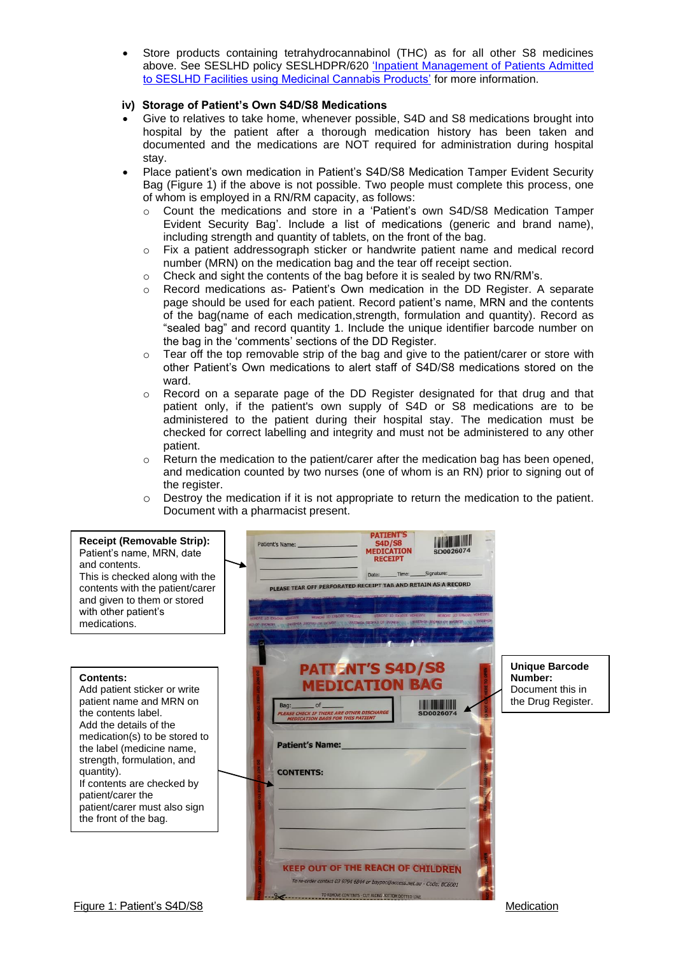• Store products containing tetrahydrocannabinol (THC) as for all other S8 medicines above. See SESLHD policy SESLHDPR/620 ['Inpatient Management of Patients Admitted](https://www.seslhd.health.nsw.gov.au/sites/default/files/documents/SESLHDPR620_0.pdf)  [to SESLHD Facilities using Medicinal Cannabis Products'](https://www.seslhd.health.nsw.gov.au/sites/default/files/documents/SESLHDPR620_0.pdf) for more information.

#### **iv) Storage of Patient's Own S4D/S8 Medications**

- Give to relatives to take home, whenever possible, S4D and S8 medications brought into hospital by the patient after a thorough medication history has been taken and documented and the medications are NOT required for administration during hospital stay.
- Place patient's own medication in Patient's S4D/S8 Medication Tamper Evident Security Bag (Figure 1) if the above is not possible. Two people must complete this process, one of whom is employed in a RN/RM capacity, as follows:
	- o Count the medications and store in a 'Patient's own S4D/S8 Medication Tamper Evident Security Bag'. Include a list of medications (generic and brand name), including strength and quantity of tablets, on the front of the bag.
	- o Fix a patient addressograph sticker or handwrite patient name and medical record number (MRN) on the medication bag and the tear off receipt section.
	- $\circ$  Check and sight the contents of the bag before it is sealed by two RN/RM's.
	- o Record medications as- Patient's Own medication in the DD Register. A separate page should be used for each patient. Record patient's name, MRN and the contents of the bag(name of each medication,strength, formulation and quantity). Record as "sealed bag" and record quantity 1. Include the unique identifier barcode number on the bag in the 'comments' sections of the DD Register.
	- $\circ$  Tear off the top removable strip of the bag and give to the patient/carer or store with other Patient's Own medications to alert staff of S4D/S8 medications stored on the ward.
	- $\circ$  Record on a separate page of the DD Register designated for that drug and that patient only, if the patient's own supply of S4D or S8 medications are to be administered to the patient during their hospital stay. The medication must be checked for correct labelling and integrity and must not be administered to any other patient.
	- $\circ$  Return the medication to the patient/carer after the medication bag has been opened, and medication counted by two nurses (one of whom is an RN) prior to signing out of the register.
	- o Destroy the medication if it is not appropriate to return the medication to the patient. Document with a pharmacist present.

| <b>Receipt (Removable Strip):</b><br>Patient's name, MRN, date<br>and contents.<br>This is checked along with the<br>contents with the patient/carer<br>and given to them or stored<br>with other patient's<br>medications.                                                                                                                 | <b>PATIENT'S</b><br><b>S4D/S8</b><br>Patient's Name:<br><b>MEDICATION</b><br>SD0026074<br><u> स्वयं धा</u><br>Signature<br>PLEASE TEAR OFF PERFORATED RECEIPT TAB AND RETAIN AS A RECORD<br>REMOVE TO EXPOSE ADHESIVE TO REMOVE TO EXPOSE ADHESIVE<br><b>REMOVE TO E</b>                                                                                                                    |                                                                            |
|---------------------------------------------------------------------------------------------------------------------------------------------------------------------------------------------------------------------------------------------------------------------------------------------------------------------------------------------|---------------------------------------------------------------------------------------------------------------------------------------------------------------------------------------------------------------------------------------------------------------------------------------------------------------------------------------------------------------------------------------------|----------------------------------------------------------------------------|
| Contents:<br>Add patient sticker or write<br>patient name and MRN on<br>the contents label.<br>Add the details of the<br>medication(s) to be stored to<br>the label (medicine name,<br>strength, formulation, and<br>quantity).<br>If contents are checked by<br>patient/carer the<br>patient/carer must also sign<br>the front of the bag. | <b>PATTENT'S S4D/S8</b><br><b>MEDICATION BAG</b><br>of<br><b>PLEASE CHECK IF THERE ARE OTHER DISCHARGE</b><br>SD0026074<br><b>MEDICATION BAGS FOR THIS PATIEN</b><br><b>Patient's Name:</b><br><b>CONTENTS:</b><br><b>KEEP OUT OF THE REACH OF CHILDREN</b><br>To re-order contact 03 9794 6844 or baypac@access.net.au - Code: BC6001<br>TO REMOVE CONTENTS - CUT ALONG 30TTOM DOTTED LINE | <b>Unique Barcode</b><br>Number:<br>Document this in<br>the Drug Register. |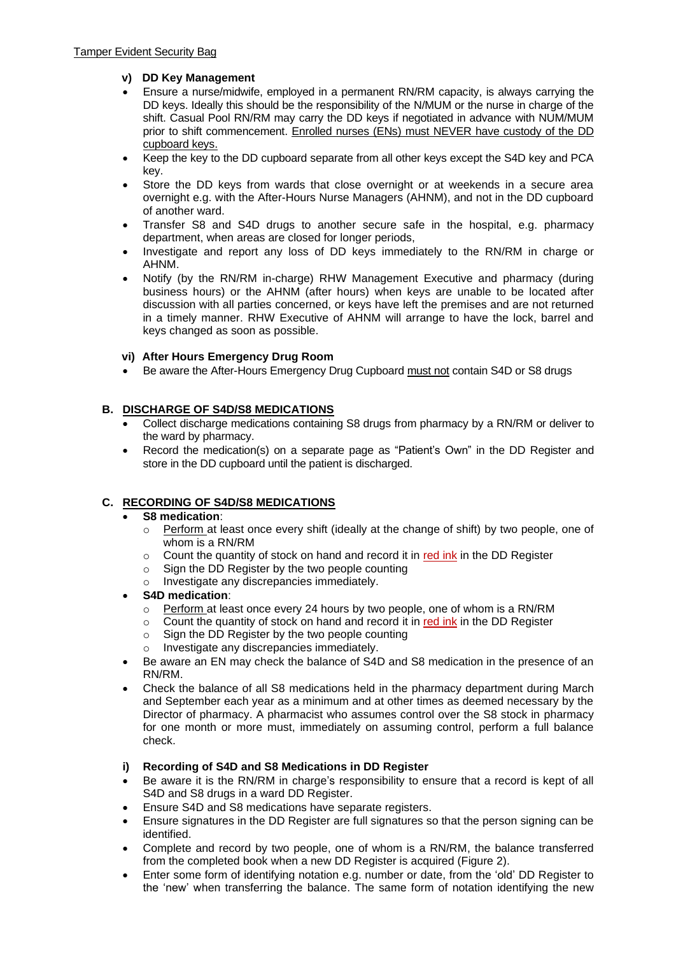### **v) DD Key Management**

- Ensure a nurse/midwife, employed in a permanent RN/RM capacity, is always carrying the DD keys. Ideally this should be the responsibility of the N/MUM or the nurse in charge of the shift. Casual Pool RN/RM may carry the DD keys if negotiated in advance with NUM/MUM prior to shift commencement. Enrolled nurses (ENs) must NEVER have custody of the DD cupboard keys.
- Keep the key to the DD cupboard separate from all other keys except the S4D key and PCA key.
- Store the DD keys from wards that close overnight or at weekends in a secure area overnight e.g. with the After-Hours Nurse Managers (AHNM), and not in the DD cupboard of another ward.
- Transfer S8 and S4D drugs to another secure safe in the hospital, e.g. pharmacy department, when areas are closed for longer periods,
- Investigate and report any loss of DD keys immediately to the RN/RM in charge or AHNM.
- Notify (by the RN/RM in-charge) RHW Management Executive and pharmacy (during business hours) or the AHNM (after hours) when keys are unable to be located after discussion with all parties concerned, or keys have left the premises and are not returned in a timely manner. RHW Executive of AHNM will arrange to have the lock, barrel and keys changed as soon as possible.

#### **vi) After Hours Emergency Drug Room**

• Be aware the After-Hours Emergency Drug Cupboard must not contain S4D or S8 drugs

### **B. DISCHARGE OF S4D/S8 MEDICATIONS**

- Collect discharge medications containing S8 drugs from pharmacy by a RN/RM or deliver to the ward by pharmacy.
- Record the medication(s) on a separate page as "Patient's Own" in the DD Register and store in the DD cupboard until the patient is discharged.

## **C. RECORDING OF S4D/S8 MEDICATIONS**

#### • **S8 medication**:

- o Perform at least once every shift (ideally at the change of shift) by two people, one of whom is a RN/RM
- $\circ$  Count the quantity of stock on hand and record it in red ink in the DD Register
- o Sign the DD Register by the two people counting
- Investigate any discrepancies immediately.
- **S4D medication**:
	- Perform at least once every 24 hours by two people, one of whom is a RN/RM
	- $\circ$  Count the quantity of stock on hand and record it in red ink in the DD Register
	- Sign the DD Register by the two people counting
	- o Investigate any discrepancies immediately.
- Be aware an EN may check the balance of S4D and S8 medication in the presence of an RN/RM.
- Check the balance of all S8 medications held in the pharmacy department during March and September each year as a minimum and at other times as deemed necessary by the Director of pharmacy. A pharmacist who assumes control over the S8 stock in pharmacy for one month or more must, immediately on assuming control, perform a full balance check.

#### **i) Recording of S4D and S8 Medications in DD Register**

- Be aware it is the RN/RM in charge's responsibility to ensure that a record is kept of all S4D and S8 drugs in a ward DD Register.
- Ensure S4D and S8 medications have separate registers.
- Ensure signatures in the DD Register are full signatures so that the person signing can be identified.
- Complete and record by two people, one of whom is a RN/RM, the balance transferred from the completed book when a new DD Register is acquired (Figure 2).
- Enter some form of identifying notation e.g. number or date, from the 'old' DD Register to the 'new' when transferring the balance. The same form of notation identifying the new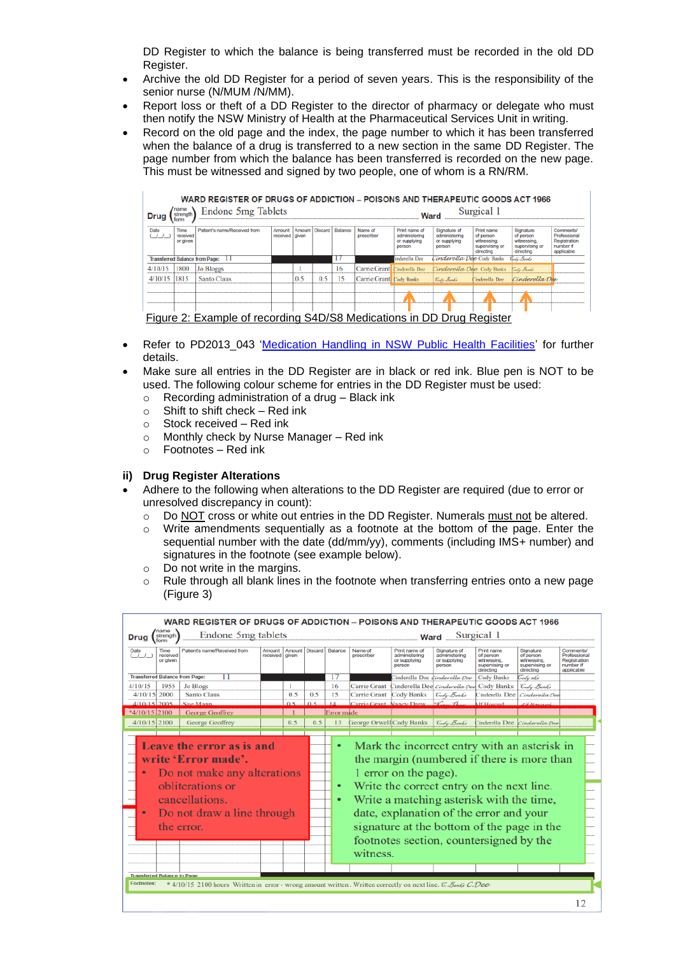DD Register to which the balance is being transferred must be recorded in the old DD Register.

- Archive the old DD Register for a period of seven years. This is the responsibility of the senior nurse (N/MUM /N/MM).
- Report loss or theft of a DD Register to the director of pharmacy or delegate who must then notify the NSW Ministry of Health at the Pharmaceutical Services Unit in writing.
- Record on the old page and the index, the page number to which it has been transferred when the balance of a drug is transferred to a new section in the same DD Register. The page number from which the balance has been transferred is recorded on the new page. This must be witnessed and signed by two people, one of whom is a RN/RM.

| Drug                                                                                                                                                                                                                                                                                                                                                                                                                                                                                                   | WARD REGISTER OF DRUGS OF ADDICTION – POISONS AND THERAPEUTIC GOODS ACT 1966<br>Endone 5mg Tablets<br>Surgical 1<br>strenath<br>Ward |                                                                       |  |     |     |    |                                |               |                                   |                |                |  |
|--------------------------------------------------------------------------------------------------------------------------------------------------------------------------------------------------------------------------------------------------------------------------------------------------------------------------------------------------------------------------------------------------------------------------------------------------------------------------------------------------------|--------------------------------------------------------------------------------------------------------------------------------------|-----------------------------------------------------------------------|--|-----|-----|----|--------------------------------|---------------|-----------------------------------|----------------|----------------|--|
| Amount Discard<br>Patient's name/Received from<br>Balance<br>Time<br>Print name<br>Signature<br>Name of<br>Print name of<br>Signature of<br>Comments/<br>Date<br>Amount<br>administering<br>Professional<br>prescriber<br>of person<br>received   given<br>administering<br>received<br>of person<br>Registration<br>or supplying<br>witnessing<br>or supplying<br>witnessing<br>or given<br>number if<br>supervising or<br>supervising or<br>person<br>person<br>applicable<br>directing<br>directing |                                                                                                                                      |                                                                       |  |     |     |    |                                |               |                                   |                |                |  |
| <b>Transferred Balance from Page:</b>                                                                                                                                                                                                                                                                                                                                                                                                                                                                  |                                                                                                                                      | п                                                                     |  |     |     |    |                                | inderella Dee | C <i>inderella Dee</i> Cody Banks |                | Cody Bonks     |  |
| 4/10/15                                                                                                                                                                                                                                                                                                                                                                                                                                                                                                | 1800                                                                                                                                 | <b>Jo Bloggs</b>                                                      |  |     |     | 16 | Carrie Grant Cinderella Dee    |               | Cinderella Dee Cody Banks         |                | Seate Banks    |  |
| 4/10/15                                                                                                                                                                                                                                                                                                                                                                                                                                                                                                | 1815                                                                                                                                 | Santo Claus                                                           |  | 0.5 | 0.5 | к  | <b>Carrie Grant</b> Cody Banks |               | Gody Banks                        | Cinderella Dee | Cinderella Dae |  |
|                                                                                                                                                                                                                                                                                                                                                                                                                                                                                                        |                                                                                                                                      |                                                                       |  |     |     |    |                                |               |                                   |                |                |  |
|                                                                                                                                                                                                                                                                                                                                                                                                                                                                                                        |                                                                                                                                      | Figure 2: Example of recording S4D/S8 Medications in DD Drug Register |  |     |     |    |                                |               |                                   |                |                |  |

- Refer to PD2013 043 ['Medication Handling in NSW Public Health Facilities'](http://www0.health.nsw.gov.au/policies/pd/2013/pdf/PD2013_043.pdf) for further details.
- Make sure all entries in the DD Register are in black or red ink. Blue pen is NOT to be used. The following colour scheme for entries in the DD Register must be used:
	- o Recording administration of a drug Black ink
	- $\circ$  Shift to shift check Red ink
	- o Stock received Red ink
	- o Monthly check by Nurse Manager Red ink
	- o Footnotes Red ink

#### **ii) Drug Register Alterations**

- Adhere to the following when alterations to the DD Register are required (due to error or unresolved discrepancy in count):
	- o Do NOT cross or white out entries in the DD Register. Numerals must not be altered.
	- $\circ$  Write amendments sequentially as a footnote at the bottom of the page. Enter the sequential number with the date (dd/mm/yy), comments (including IMS+ number) and signatures in the footnote (see example below).
	- o Do not write in the margins.
	- $\circ$  Rule through all blank lines in the footnote when transferring entries onto a new page (Figure 3)

| <b>Drug</b>                                                                                                                                                                                                                                                                                                                                                                                                                                                                                                                                                                                                                                                                                                                                                                                                                              | WARD REGISTER OF DRUGS OF ADDICTION - POISONS AND THERAPEUTIC GOODS ACT 1966<br>name<br>Endone 5mg tablets<br>Surgical 1<br>strength<br>Ward<br>form |                              |                            |        |                 |    |            |                         |                                                          |                                                         |                                                                       |                                                                      |                                                                            |
|------------------------------------------------------------------------------------------------------------------------------------------------------------------------------------------------------------------------------------------------------------------------------------------------------------------------------------------------------------------------------------------------------------------------------------------------------------------------------------------------------------------------------------------------------------------------------------------------------------------------------------------------------------------------------------------------------------------------------------------------------------------------------------------------------------------------------------------|------------------------------------------------------------------------------------------------------------------------------------------------------|------------------------------|----------------------------|--------|-----------------|----|------------|-------------------------|----------------------------------------------------------|---------------------------------------------------------|-----------------------------------------------------------------------|----------------------------------------------------------------------|----------------------------------------------------------------------------|
| Date<br>(11)                                                                                                                                                                                                                                                                                                                                                                                                                                                                                                                                                                                                                                                                                                                                                                                                                             | Time<br>received<br>or given                                                                                                                         | Patient's name/Received from | Amount<br>received   given | Amount | Discard Balance |    |            | Name of<br>prescriber   | Print name of<br>administering<br>or supplying<br>person | Signature of<br>administering<br>or supplying<br>person | Print name<br>of person<br>witnessing.<br>supervising or<br>directing | Signature<br>of person<br>witnessing.<br>supervising or<br>directing | <b>Comments</b><br>Professional<br>Registration<br>number if<br>applicable |
| <b>Transferred Balance from Page:</b>                                                                                                                                                                                                                                                                                                                                                                                                                                                                                                                                                                                                                                                                                                                                                                                                    |                                                                                                                                                      | 11                           |                            |        |                 | 17 |            |                         |                                                          | inderella Dee dinderella Dee                            | <b>Cody Banks</b>                                                     | Godynks                                                              |                                                                            |
| 4/10/15                                                                                                                                                                                                                                                                                                                                                                                                                                                                                                                                                                                                                                                                                                                                                                                                                                  | 1955                                                                                                                                                 | <b>Jo Blogs</b>              |                            | 1      |                 | 16 |            |                         |                                                          | Carrie Grant Cinderella Dee Cinderella Dee              | <b>Cody Banks</b>                                                     | Gody Banks                                                           |                                                                            |
| 4/10/15 2000                                                                                                                                                                                                                                                                                                                                                                                                                                                                                                                                                                                                                                                                                                                                                                                                                             |                                                                                                                                                      | <b>Santo Claus</b>           |                            | 0.5    | 0.5             | 15 |            | Carrie Grant Cody Banks |                                                          | Gody Banks                                              | Cinderella Dee                                                        | Cinderella Dee                                                       |                                                                            |
| $4/10/15$ 2005                                                                                                                                                                                                                                                                                                                                                                                                                                                                                                                                                                                                                                                                                                                                                                                                                           |                                                                                                                                                      | Sue Mann                     |                            |        |                 |    |            | Carrie Grant Nancy Drew |                                                          |                                                         |                                                                       |                                                                      |                                                                            |
| $*4/10/15$ 2100                                                                                                                                                                                                                                                                                                                                                                                                                                                                                                                                                                                                                                                                                                                                                                                                                          |                                                                                                                                                      | <b>George Geoffrey</b>       |                            |        |                 |    | Error made |                         |                                                          |                                                         |                                                                       |                                                                      |                                                                            |
|                                                                                                                                                                                                                                                                                                                                                                                                                                                                                                                                                                                                                                                                                                                                                                                                                                          |                                                                                                                                                      | George Geoffrey              |                            | 0.5    | 0.5             |    | 13         |                         |                                                          | Gody Banks                                              |                                                                       |                                                                      |                                                                            |
| $4/10/15$ 2100<br>George Orwell Cody Banks<br>inderella Dee <i>Cinderella Dee</i><br>Leave the error as is and<br>Mark the incorrect entry with an asterisk in<br>write 'Error made'.<br>the margin (numbered if there is more than<br>Do not make any alterations<br>1 error on the page).<br>obliterations or<br>Write the correct entry on the next line.<br>٠<br>cancellations.<br>Write a matching asterisk with the time,<br>$\bullet$<br>date, explanation of the error and your<br>Do not draw a line through<br>٠<br>signature at the bottom of the page in the<br>the error.<br>footnotes section, countersigned by the<br>witness.<br><b>Transferred Balance to Page:</b><br><b>Footnotes:</b><br>* 4/10/15 2100 hours Written in error - wrong amount written. Written correctly on next line. $\overline{C}$ , Fanks C, Dee |                                                                                                                                                      |                              |                            |        |                 |    |            |                         |                                                          |                                                         |                                                                       |                                                                      |                                                                            |
|                                                                                                                                                                                                                                                                                                                                                                                                                                                                                                                                                                                                                                                                                                                                                                                                                                          |                                                                                                                                                      |                              |                            |        |                 |    |            |                         |                                                          |                                                         |                                                                       |                                                                      | 12                                                                         |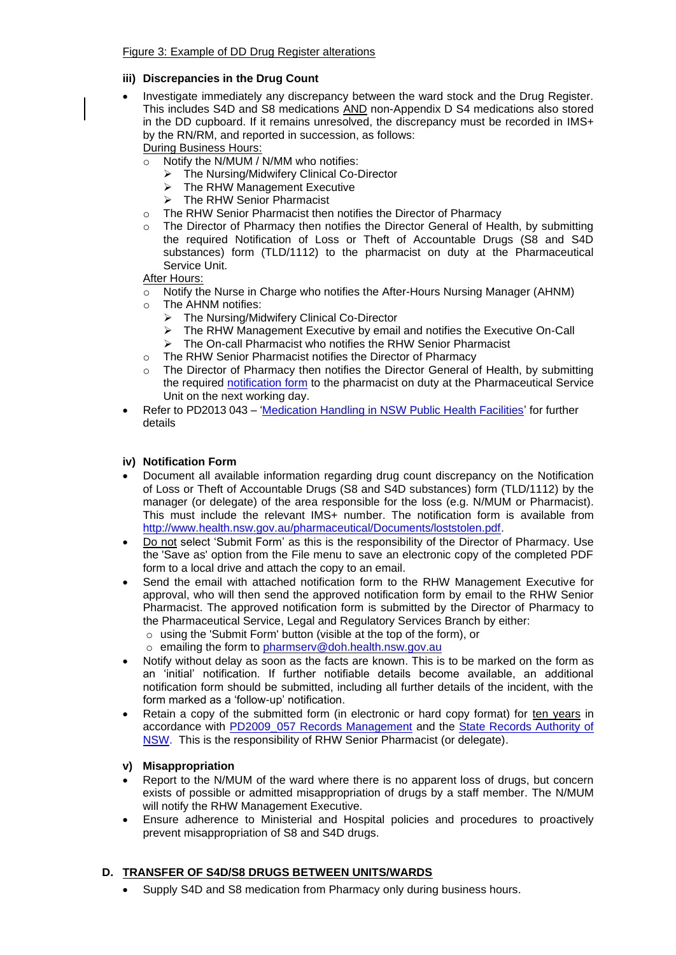#### **iii) Discrepancies in the Drug Count**

- Investigate immediately any discrepancy between the ward stock and the Drug Register. This includes S4D and S8 medications AND non-Appendix D S4 medications also stored in the DD cupboard. If it remains unresolved, the discrepancy must be recorded in IMS+ by the RN/RM, and reported in succession, as follows:
	- During Business Hours:
	- $\overline{\circ}$  Notify the N/MUM / N/MM who notifies:
		- ➢ The Nursing/Midwifery Clinical Co-Director
		- ➢ The RHW Management Executive
		- ➢ The RHW Senior Pharmacist
	- o The RHW Senior Pharmacist then notifies the Director of Pharmacy
	- The Director of Pharmacy then notifies the Director General of Health, by submitting the required Notification of Loss or Theft of Accountable Drugs (S8 and S4D substances) form (TLD/1112) to the pharmacist on duty at the Pharmaceutical Service Unit.

After Hours:

- Notify the Nurse in Charge who notifies the After-Hours Nursing Manager (AHNM)
- The AHNM notifies:
	- ➢ The Nursing/Midwifery Clinical Co-Director
	- ➢ The RHW Management Executive by email and notifies the Executive On-Call
	- ➢ The On-call Pharmacist who notifies the RHW Senior Pharmacist
- o The RHW Senior Pharmacist notifies the Director of Pharmacy
- The Director of Pharmacy then notifies the Director General of Health, by submitting the required [notification form](http://www.health.nsw.gov.au/pharmaceutical/Documents/loststolen.pdf) to the pharmacist on duty at the Pharmaceutical Service Unit on the next working day.
- Refer to PD2013 043 ['Medication Handling in NSW Public Health Facilities'](http://www0.health.nsw.gov.au/policies/pd/2013/pdf/PD2013_043.pdf) for further details

#### **iv) Notification Form**

- Document all available information regarding drug count discrepancy on the Notification of Loss or Theft of Accountable Drugs (S8 and S4D substances) form (TLD/1112) by the manager (or delegate) of the area responsible for the loss (e.g. N/MUM or Pharmacist). This must include the relevant IMS+ number. The notification form is available from [http://www.health.nsw.gov.au/pharmaceutical/Documents/loststolen.pdf.](http://www.health.nsw.gov.au/pharmaceutical/Documents/loststolen.pdf)
- Do not select 'Submit Form' as this is the responsibility of the Director of Pharmacy. Use the 'Save as' option from the File menu to save an electronic copy of the completed PDF form to a local drive and attach the copy to an email.
- Send the email with attached notification form to the RHW Management Executive for approval, who will then send the approved notification form by email to the RHW Senior Pharmacist. The approved notification form is submitted by the Director of Pharmacy to the Pharmaceutical Service, Legal and Regulatory Services Branch by either:
	- o using the 'Submit Form' button (visible at the top of the form), or
	- o emailing the form to [pharmserv@doh.health.nsw.gov.au](mailto:pharmserv@doh.health.nsw.gov.au)
- Notify without delay as soon as the facts are known. This is to be marked on the form as an 'initial' notification. If further notifiable details become available, an additional notification form should be submitted, including all further details of the incident, with the form marked as a 'follow-up' notification.
- Retain a copy of the submitted form (in electronic or hard copy format) for ten years in accordance with [PD2009\\_057 Records Management](http://www0.health.nsw.gov.au/policies/pd/2009/PD2009_057.html) and the [State Records Authority of](http://www.records.nsw.gov.au/)  [NSW.](http://www.records.nsw.gov.au/) This is the responsibility of RHW Senior Pharmacist (or delegate).

#### **v) Misappropriation**

- Report to the N/MUM of the ward where there is no apparent loss of drugs, but concern exists of possible or admitted misappropriation of drugs by a staff member. The N/MUM will notify the RHW Management Executive.
- Ensure adherence to Ministerial and Hospital policies and procedures to proactively prevent misappropriation of S8 and S4D drugs.

#### **D. TRANSFER OF S4D/S8 DRUGS BETWEEN UNITS/WARDS**

• Supply S4D and S8 medication from Pharmacy only during business hours.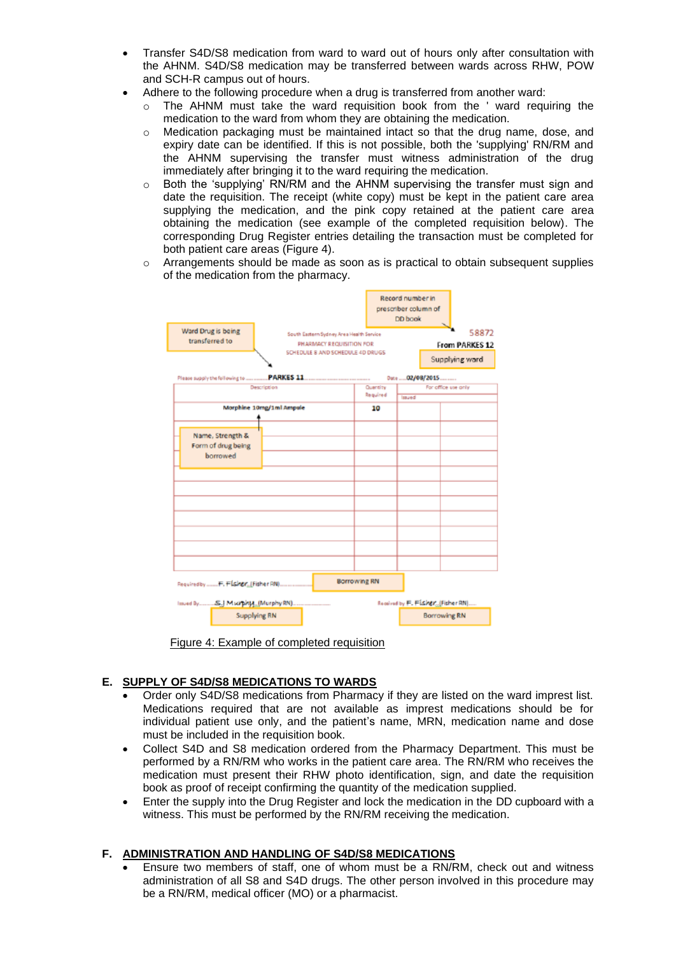- Transfer S4D/S8 medication from ward to ward out of hours only after consultation with the AHNM. S4D/S8 medication may be transferred between wards across RHW, POW and SCH-R campus out of hours.
- Adhere to the following procedure when a drug is transferred from another ward:
	- o The AHNM must take the ward requisition book from the ' ward requiring the medication to the ward from whom they are obtaining the medication.
	- o Medication packaging must be maintained intact so that the drug name, dose, and expiry date can be identified. If this is not possible, both the 'supplying' RN/RM and the AHNM supervising the transfer must witness administration of the drug immediately after bringing it to the ward requiring the medication.
	- Both the 'supplying' RN/RM and the AHNM supervising the transfer must sign and date the requisition. The receipt (white copy) must be kept in the patient care area supplying the medication, and the pink copy retained at the patient care area obtaining the medication (see example of the completed requisition below). The corresponding Drug Register entries detailing the transaction must be completed for both patient care areas (Figure 4).
	- $\circ$  Arrangements should be made as soon as is practical to obtain subsequent supplies of the medication from the pharmacy.



Figure 4: Example of completed requisition

## **E. SUPPLY OF S4D/S8 MEDICATIONS TO WARDS**

- Order only S4D/S8 medications from Pharmacy if they are listed on the ward imprest list. Medications required that are not available as imprest medications should be for individual patient use only, and the patient's name, MRN, medication name and dose must be included in the requisition book.
- Collect S4D and S8 medication ordered from the Pharmacy Department. This must be performed by a RN/RM who works in the patient care area. The RN/RM who receives the medication must present their RHW photo identification, sign, and date the requisition book as proof of receipt confirming the quantity of the medication supplied.
- Enter the supply into the Drug Register and lock the medication in the DD cupboard with a witness. This must be performed by the RN/RM receiving the medication.

## **F. ADMINISTRATION AND HANDLING OF S4D/S8 MEDICATIONS**

• Ensure two members of staff, one of whom must be a RN/RM, check out and witness administration of all S8 and S4D drugs. The other person involved in this procedure may be a RN/RM, medical officer (MO) or a pharmacist.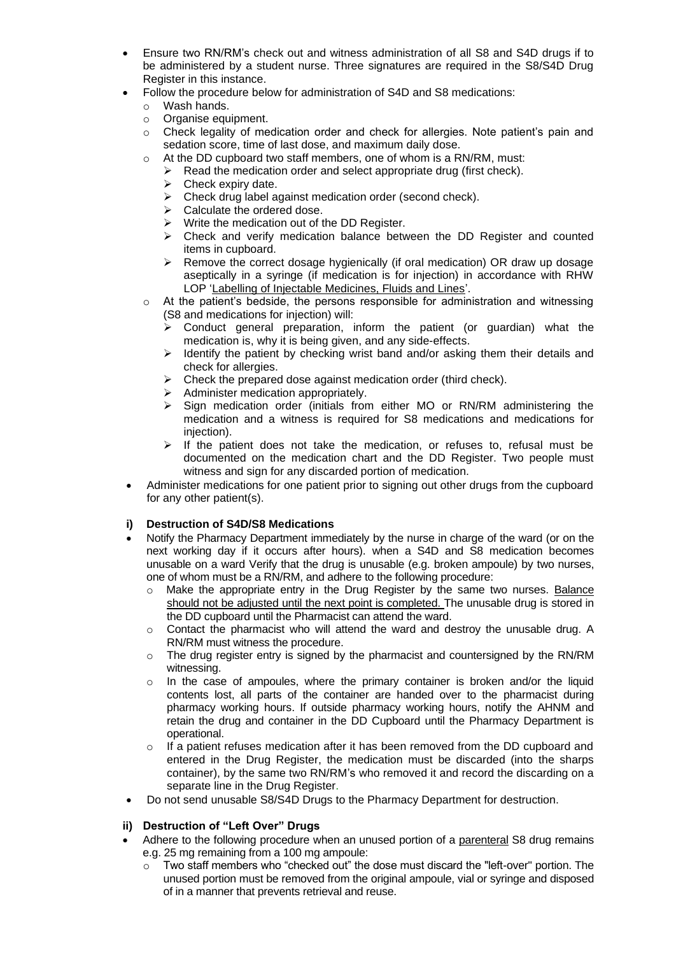- Ensure two RN/RM's check out and witness administration of all S8 and S4D drugs if to be administered by a student nurse. Three signatures are required in the S8/S4D Drug Register in this instance.
- Follow the procedure below for administration of S4D and S8 medications:
	- o Wash hands.
	- o Organise equipment.
	- o Check legality of medication order and check for allergies. Note patient's pain and sedation score, time of last dose, and maximum daily dose.
	- o At the DD cupboard two staff members, one of whom is a RN/RM, must:
		- $\triangleright$  Read the medication order and select appropriate drug (first check).
			- $\triangleright$  Check expiry date.
			- ➢ Check drug label against medication order (second check).
			- $\triangleright$  Calculate the ordered dose.
			- ➢ Write the medication out of the DD Register.
			- $\triangleright$  Check and verify medication balance between the DD Register and counted items in cupboard.
			- ➢ Remove the correct dosage hygienically (if oral medication) OR draw up dosage aseptically in a syringe (if medication is for injection) in accordance with RHW LOP ['Labelling of Injectable Medicines, Fluids and Lines'](http://seslhnweb/powh/documents/cpm/Section04/LabellingInjectableMedicinesFluidsLines-updated.pdf).
	- At the patient's bedside, the persons responsible for administration and witnessing (S8 and medications for injection) will:
		- ➢ Conduct general preparation, inform the patient (or guardian) what the medication is, why it is being given, and any side-effects.
		- $\triangleright$  Identify the patient by checking wrist band and/or asking them their details and check for allergies.
		- $\triangleright$  Check the prepared dose against medication order (third check).
		- ➢ Administer medication appropriately.
		- ➢ Sign medication order (initials from either MO or RN/RM administering the medication and a witness is required for S8 medications and medications for injection).
		- $\triangleright$  If the patient does not take the medication, or refuses to, refusal must be documented on the medication chart and the DD Register. Two people must witness and sign for any discarded portion of medication.
- Administer medications for one patient prior to signing out other drugs from the cupboard for any other patient(s).

#### **i) Destruction of S4D/S8 Medications**

- Notify the Pharmacy Department immediately by the nurse in charge of the ward (or on the next working day if it occurs after hours). when a S4D and S8 medication becomes unusable on a ward Verify that the drug is unusable (e.g. broken ampoule) by two nurses, one of whom must be a RN/RM, and adhere to the following procedure:
	- o Make the appropriate entry in the Drug Register by the same two nurses. Balance should not be adjusted until the next point is completed. The unusable drug is stored in the DD cupboard until the Pharmacist can attend the ward.
	- $\circ$  Contact the pharmacist who will attend the ward and destroy the unusable drug. A RN/RM must witness the procedure.
	- $\circ$  The drug register entry is signed by the pharmacist and countersigned by the RN/RM witnessing.
	- $\circ$  In the case of ampoules, where the primary container is broken and/or the liquid contents lost, all parts of the container are handed over to the pharmacist during pharmacy working hours. If outside pharmacy working hours, notify the AHNM and retain the drug and container in the DD Cupboard until the Pharmacy Department is operational.
	- $\circ$  If a patient refuses medication after it has been removed from the DD cupboard and entered in the Drug Register, the medication must be discarded (into the sharps container), by the same two RN/RM's who removed it and record the discarding on a separate line in the Drug Register.
- Do not send unusable S8/S4D Drugs to the Pharmacy Department for destruction.

#### **ii) Destruction of "Left Over" Drugs**

- Adhere to the following procedure when an unused portion of a parenteral S8 drug remains e.g. 25 mg remaining from a 100 mg ampoule:
	- $\circ$  Two staff members who "checked out" the dose must discard the "left-over" portion. The unused portion must be removed from the original ampoule, vial or syringe and disposed of in a manner that prevents retrieval and reuse.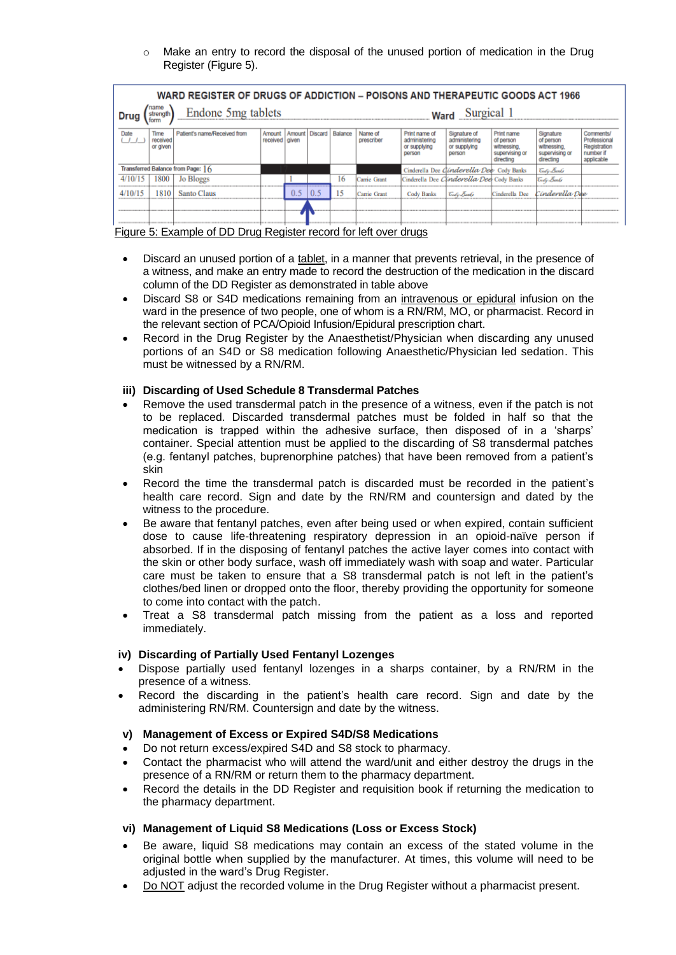$\circ$  Make an entry to record the disposal of the unused portion of medication in the Drug Register (Figure 5).

| WARD REGISTER OF DRUGS OF ADDICTION – POISONS AND THERAPEUTIC GOODS ACT 1966                                                                                                                                                                                                                                                                                                                                                        |      |                                   |  |           |     |    |              |                                           |                                          |                                                                      |                |  |  |  |
|-------------------------------------------------------------------------------------------------------------------------------------------------------------------------------------------------------------------------------------------------------------------------------------------------------------------------------------------------------------------------------------------------------------------------------------|------|-----------------------------------|--|-----------|-----|----|--------------|-------------------------------------------|------------------------------------------|----------------------------------------------------------------------|----------------|--|--|--|
| name<br>Endone 5mg tablets<br>strenath                                                                                                                                                                                                                                                                                                                                                                                              |      |                                   |  |           |     |    |              | Surgical 1<br>Ward                        |                                          |                                                                      |                |  |  |  |
| Time<br>Patient's name/Received from<br>Balance<br>Name of<br>Print name of<br>Print name<br>Signature<br>Discard /<br>Signature of<br>Date<br>Amount<br>Amount<br>prescriber<br>of person<br>administering<br>of person<br>receiwed<br>received given<br>administering<br>witnessing.<br>or supplying<br>or given<br>or supplying<br>witnessing.<br>supervising or<br>supervising or<br>person<br>person<br>directing<br>directing |      |                                   |  |           |     |    |              |                                           |                                          | Comments/<br>Professional<br>Registration<br>number if<br>applicable |                |  |  |  |
|                                                                                                                                                                                                                                                                                                                                                                                                                                     |      | Transferred Balance from Page: 16 |  |           |     |    |              |                                           | Cinderella Dee Cinderella Dee Cody Banks |                                                                      | Gody Banks     |  |  |  |
|                                                                                                                                                                                                                                                                                                                                                                                                                                     | 1800 | <b>Jo Bloggs</b>                  |  | --------- |     | 16 | Carrie Grant | Cinderella Dee Clinderella Dee Cody Banks |                                          |                                                                      | Gody Banks     |  |  |  |
|                                                                                                                                                                                                                                                                                                                                                                                                                                     | 810  | <b>Santo Claus</b>                |  | 0.5       | 0.5 |    | Carrie Grant | <b>Banks</b>                              | Gody Banks                               | Cinderella Dee                                                       | Cindevella Dee |  |  |  |
|                                                                                                                                                                                                                                                                                                                                                                                                                                     |      |                                   |  |           |     |    |              |                                           |                                          |                                                                      |                |  |  |  |

Figure 5: Example of DD Drug Register record for left over drugs

- Discard an unused portion of a tablet, in a manner that prevents retrieval, in the presence of a witness, and make an entry made to record the destruction of the medication in the discard column of the DD Register as demonstrated in table above
- Discard S8 or S4D medications remaining from an intravenous or epidural infusion on the ward in the presence of two people, one of whom is a RN/RM, MO, or pharmacist. Record in the relevant section of PCA/Opioid Infusion/Epidural prescription chart.
- Record in the Drug Register by the Anaesthetist/Physician when discarding any unused portions of an S4D or S8 medication following Anaesthetic/Physician led sedation. This must be witnessed by a RN/RM.

#### **iii) Discarding of Used Schedule 8 Transdermal Patches**

- Remove the used transdermal patch in the presence of a witness, even if the patch is not to be replaced. Discarded transdermal patches must be folded in half so that the medication is trapped within the adhesive surface, then disposed of in a 'sharps' container. Special attention must be applied to the discarding of S8 transdermal patches (e.g. fentanyl patches, buprenorphine patches) that have been removed from a patient's skin
- Record the time the transdermal patch is discarded must be recorded in the patient's health care record. Sign and date by the RN/RM and countersign and dated by the witness to the procedure.
- Be aware that fentanyl patches, even after being used or when expired, contain sufficient dose to cause life-threatening respiratory depression in an opioid-naïve person if absorbed. If in the disposing of fentanyl patches the active layer comes into contact with the skin or other body surface, wash off immediately wash with soap and water. Particular care must be taken to ensure that a S8 transdermal patch is not left in the patient's clothes/bed linen or dropped onto the floor, thereby providing the opportunity for someone to come into contact with the patch.
- Treat a S8 transdermal patch missing from the patient as a loss and reported immediately.

#### **iv) Discarding of Partially Used Fentanyl Lozenges**

- Dispose partially used fentanyl lozenges in a sharps container, by a RN/RM in the presence of a witness.
- Record the discarding in the patient's health care record. Sign and date by the administering RN/RM. Countersign and date by the witness.

#### **v) Management of Excess or Expired S4D/S8 Medications**

- Do not return excess/expired S4D and S8 stock to pharmacy.
- Contact the pharmacist who will attend the ward/unit and either destroy the drugs in the presence of a RN/RM or return them to the pharmacy department.
- Record the details in the DD Register and requisition book if returning the medication to the pharmacy department.

#### **vi) Management of Liquid S8 Medications (Loss or Excess Stock)**

- Be aware, liquid S8 medications may contain an excess of the stated volume in the original bottle when supplied by the manufacturer. At times, this volume will need to be adjusted in the ward's Drug Register.
- Do NOT adjust the recorded volume in the Drug Register without a pharmacist present.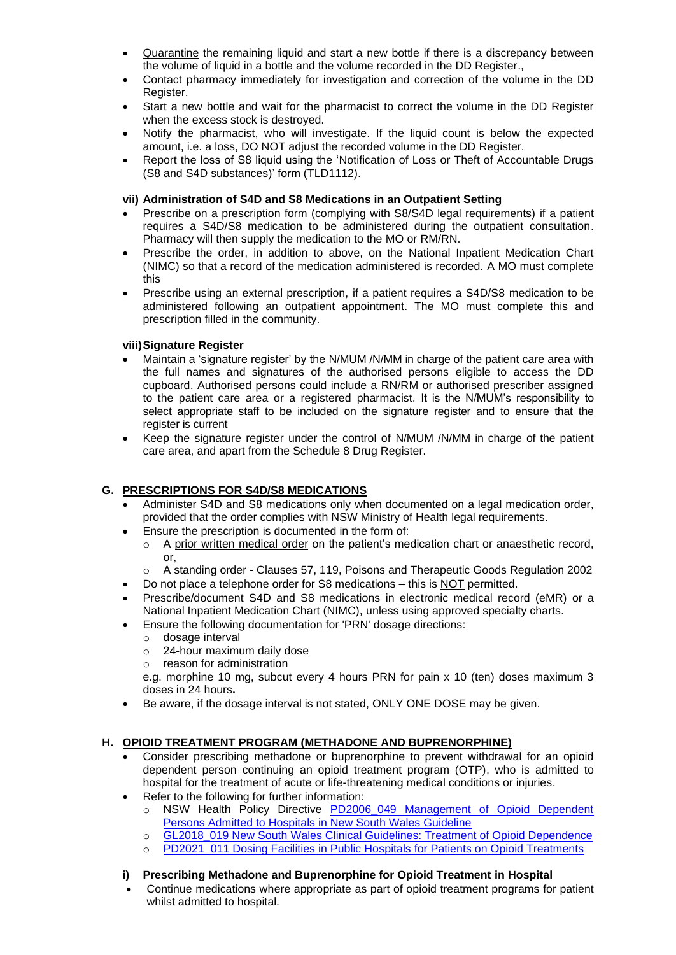- Quarantine the remaining liquid and start a new bottle if there is a discrepancy between the volume of liquid in a bottle and the volume recorded in the DD Register.,
- Contact pharmacy immediately for investigation and correction of the volume in the DD Register.
- Start a new bottle and wait for the pharmacist to correct the volume in the DD Register when the excess stock is destroyed.
- Notify the pharmacist, who will investigate. If the liquid count is below the expected amount, i.e. a loss, **DO NOT** adjust the recorded volume in the DD Register.
- Report the loss of S8 liquid using the 'Notification of Loss or Theft of Accountable Drugs (S8 and S4D substances)' form (TLD1112).

#### **vii) Administration of S4D and S8 Medications in an Outpatient Setting**

- Prescribe on a prescription form (complying with S8/S4D legal requirements) if a patient requires a S4D/S8 medication to be administered during the outpatient consultation. Pharmacy will then supply the medication to the MO or RM/RN.
- Prescribe the order, in addition to above, on the National Inpatient Medication Chart (NIMC) so that a record of the medication administered is recorded. A MO must complete this
- Prescribe using an external prescription, if a patient requires a S4D/S8 medication to be administered following an outpatient appointment. The MO must complete this and prescription filled in the community.

### **viii)Signature Register**

- Maintain a 'signature register' by the N/MUM /N/MM in charge of the patient care area with the full names and signatures of the authorised persons eligible to access the DD cupboard. Authorised persons could include a RN/RM or authorised prescriber assigned to the patient care area or a registered pharmacist. It is the N/MUM's responsibility to select appropriate staff to be included on the signature register and to ensure that the register is current
- Keep the signature register under the control of N/MUM /N/MM in charge of the patient care area, and apart from the Schedule 8 Drug Register.

#### **G. PRESCRIPTIONS FOR S4D/S8 MEDICATIONS**

- Administer S4D and S8 medications only when documented on a legal medication order, provided that the order complies with NSW Ministry of Health legal requirements.
- Ensure the prescription is documented in the form of:
	- A prior written medical order on the patient's medication chart or anaesthetic record, or,
	- o A standing order Clauses 57, 119, Poisons and Therapeutic Goods Regulation 2002
- Do not place a telephone order for S8 medications this is NOT permitted.
- Prescribe/document S4D and S8 medications in electronic medical record (eMR) or a National Inpatient Medication Chart (NIMC), unless using approved specialty charts.
- Ensure the following documentation for 'PRN' dosage directions:
	- o dosage interval
	- o 24-hour maximum daily dose
	- o reason for administration

e.g. morphine 10 mg, subcut every 4 hours PRN for pain x 10 (ten) doses maximum 3 doses in 24 hours**.**

• Be aware, if the dosage interval is not stated, ONLY ONE DOSE may be given.

## **H. OPIOID TREATMENT PROGRAM (METHADONE AND BUPRENORPHINE)**

- Consider prescribing methadone or buprenorphine to prevent withdrawal for an opioid dependent person continuing an opioid treatment program (OTP), who is admitted to hospital for the treatment of acute or life-threatening medical conditions or injuries.
- Refer to the following for further information:
	- o NSW Health Policy Directive PD2006\_049 Management of Opioid Dependent [Persons Admitted to Hospitals in New South Wales Guideline](https://www1.health.nsw.gov.au/pds/ActivePDSDocuments/PD2006_049.pdf)
		- o [GL2018\\_019 New South Wales Clinical Guidelines: Treatment of Opioid Dependence](https://www1.health.nsw.gov.au/pds/ActivePDSDocuments/GL2018_019.pdf)
		- o [PD2021\\_011 Dosing Facilities in Public Hospitals for Patients on Opioid Treatments](https://www1.health.nsw.gov.au/pds/ActivePDSDocuments/PD2021_011.pdf)

#### **i) Prescribing Methadone and Buprenorphine for Opioid Treatment in Hospital**

• Continue medications where appropriate as part of opioid treatment programs for patient whilst admitted to hospital.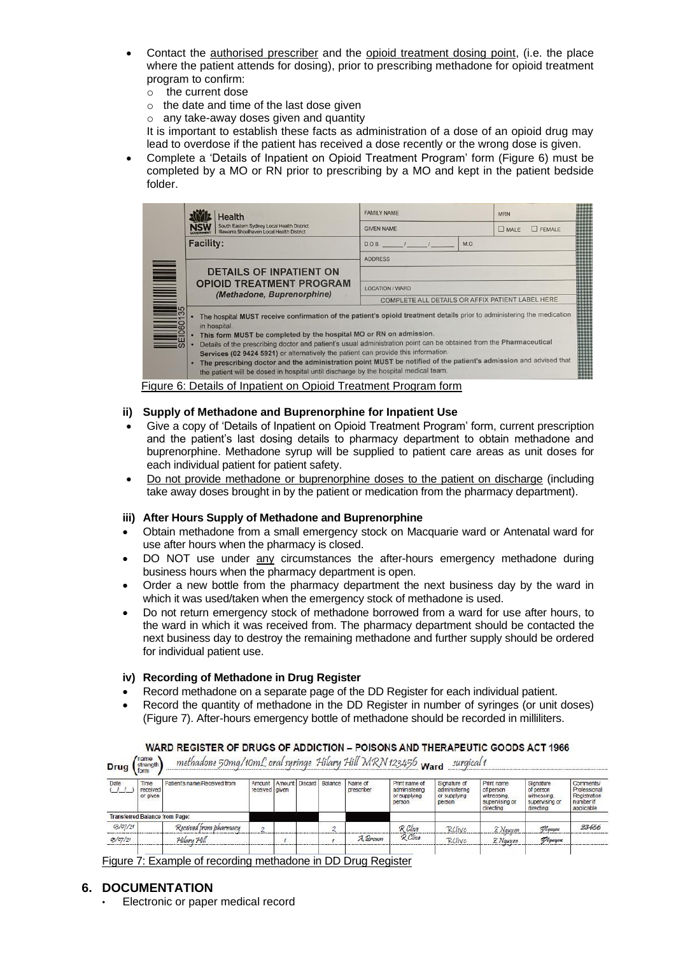- Contact the authorised prescriber and the opioid treatment dosing point, (i.e. the place where the patient attends for dosing), prior to prescribing methadone for opioid treatment program to confirm:
	- o the current dose
	- o the date and time of the last dose given
	- $\circ$  any take-away doses given and quantity

It is important to establish these facts as administration of a dose of an opioid drug may lead to overdose if the patient has received a dose recently or the wrong dose is given.

• Complete a 'Details of Inpatient on Opioid Treatment Program' form (Figure 6) must be completed by a MO or RN prior to prescribing by a MO and kept in the patient bedside folder.

|  | Health                                                                                                                                                                                                                                                                                                                                                                                                                                                                                                                                                                                                                                | <b>FAMILY NAME</b>                               | <b>MRN</b>            |  |  |  |  |  |
|--|---------------------------------------------------------------------------------------------------------------------------------------------------------------------------------------------------------------------------------------------------------------------------------------------------------------------------------------------------------------------------------------------------------------------------------------------------------------------------------------------------------------------------------------------------------------------------------------------------------------------------------------|--------------------------------------------------|-----------------------|--|--|--|--|--|
|  | South Eastern Sydney Local Health District<br>Illawarra Shoalhaven Local Health District                                                                                                                                                                                                                                                                                                                                                                                                                                                                                                                                              | <b>GIVEN NAME</b>                                | $P$ FEMALE<br>$M = 1$ |  |  |  |  |  |
|  | <b>Facility:</b>                                                                                                                                                                                                                                                                                                                                                                                                                                                                                                                                                                                                                      | M.O.<br>D.O.B.                                   |                       |  |  |  |  |  |
|  |                                                                                                                                                                                                                                                                                                                                                                                                                                                                                                                                                                                                                                       | <b>ADDRESS</b>                                   |                       |  |  |  |  |  |
|  | <b>DETAILS OF INPATIENT ON</b>                                                                                                                                                                                                                                                                                                                                                                                                                                                                                                                                                                                                        |                                                  |                       |  |  |  |  |  |
|  | <b>OPIOID TREATMENT PROGRAM</b><br>(Methadone, Buprenorphine)                                                                                                                                                                                                                                                                                                                                                                                                                                                                                                                                                                         | <b>LOCATION / WARD</b>                           |                       |  |  |  |  |  |
|  |                                                                                                                                                                                                                                                                                                                                                                                                                                                                                                                                                                                                                                       | COMPLETE ALL DETAILS OR AFFIX PATIENT LABEL HERE |                       |  |  |  |  |  |
|  | The hospital MUST receive confirmation of the patient's opioid treatment details prior to administering the medication<br>in hospital.<br>This form MUST be completed by the hospital MO or RN on admission.<br>Details of the prescribing doctor and patient's usual administration point can be obtained from the Pharmaceutical<br>Services (02 9424 5921) or alternatively the patient can provide this information.<br>. The prescribing doctor and the administration point MUST be notified of the patient's admission and advised that<br>the patient will be dosed in hospital until discharge by the hospital medical team. |                                                  |                       |  |  |  |  |  |

Figure 6: Details of Inpatient on Opioid Treatment Program form

#### **ii) Supply of Methadone and Buprenorphine for Inpatient Use**

- Give a copy of 'Details of Inpatient on Opioid Treatment Program' form, current prescription and the patient's last dosing details to pharmacy department to obtain methadone and buprenorphine. Methadone syrup will be supplied to patient care areas as unit doses for each individual patient for patient safety.
- Do not provide methadone or buprenorphine doses to the patient on discharge (including take away doses brought in by the patient or medication from the pharmacy department).

#### **iii) After Hours Supply of Methadone and Buprenorphine**

- Obtain methadone from a small emergency stock on Macquarie ward or Antenatal ward for use after hours when the pharmacy is closed.
- DO NOT use under any circumstances the after-hours emergency methadone during business hours when the pharmacy department is open.
- Order a new bottle from the pharmacy department the next business day by the ward in which it was used/taken when the emergency stock of methadone is used.
- Do not return emergency stock of methadone borrowed from a ward for use after hours, to the ward in which it was received from. The pharmacy department should be contacted the next business day to destroy the remaining methadone and further supply should be ordered for individual patient use.

#### **iv) Recording of Methadone in Drug Register**

- Record methadone on a separate page of the DD Register for each individual patient.
- Record the quantity of methadone in the DD Register in number of syringes (or unit doses) (Figure 7). After-hours emergency bottle of methadone should be recorded in milliliters.

| Drug             | name<br>strength                    | methadone 50mg/10mL oral syringe Hilary Hill MRN 123456 Ward |                            |  |                        |                       |                                                          | surgical 1                                              |                                                                       |                                                                      |                                                                      |
|------------------|-------------------------------------|--------------------------------------------------------------|----------------------------|--|------------------------|-----------------------|----------------------------------------------------------|---------------------------------------------------------|-----------------------------------------------------------------------|----------------------------------------------------------------------|----------------------------------------------------------------------|
| Date             | <b>Time</b><br>received<br>or given | Patient's name/Received from                                 | Amount<br>received   given |  | Amount Discard Balance | Name of<br>prescriber | Print name of<br>administering<br>or supplying<br>person | Sionature of<br>administering<br>or supplying<br>person | Print name<br>of person<br>witnessing.<br>supervising or<br>directing | Signature<br>of person<br>witnessing.<br>supervising or<br>directing | Comments/<br>Professional<br>Registration<br>number if<br>applicable |
|                  |                                     | Transferred Balance from Page:                               |                            |  |                        |                       |                                                          |                                                         |                                                                       |                                                                      |                                                                      |
| 03/07/21         |                                     | Received from pharmacy                                       | $\sigma$                   |  | n                      |                       | $R$ Clive                                                | <b>RClive</b>                                           | 2 Nguyen                                                              | Mauyeu                                                               | 23456                                                                |
| $O_{5}/O_{7}/21$ |                                     | Hilary Hill                                                  |                            |  |                        | A. Brown              | R Clive                                                  | <b>RClive</b>                                           | 2 Nguyen                                                              | Mauyen                                                               |                                                                      |
|                  |                                     |                                                              |                            |  |                        |                       |                                                          |                                                         |                                                                       |                                                                      |                                                                      |

WARD REGISTER OF DRUGS OF ADDICTION - POISONS AND THERAPEUTIC GOODS ACT 1966

Figure 7: Example of recording methadone in DD Drug Register

#### **6. DOCUMENTATION**

• Electronic or paper medical record